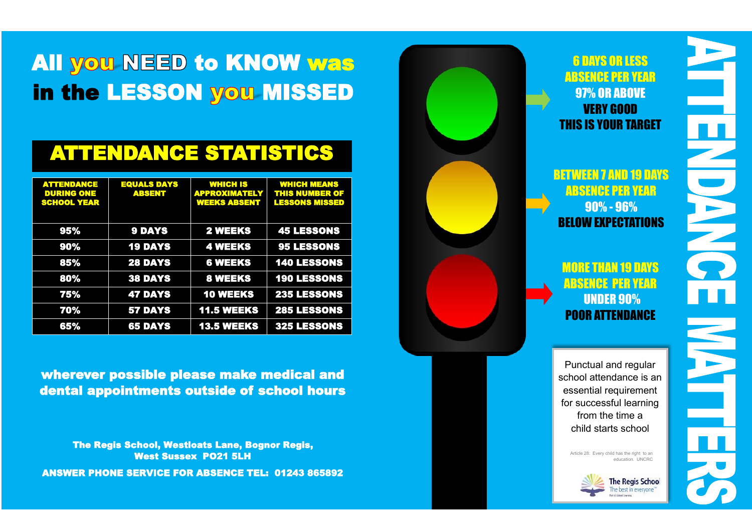# All you NEED to KNOW was in the LESSON you MISSED

## ATTENDANCE STATISTICS

| <b>ATTENDANCE</b><br><b>DURING ONE</b><br><b>SCHOOL YEAR</b> | <b>EQUALS DAYS</b><br><b>ABSENT</b> | <b>WHICH IS</b><br><b>APPROXIMATELY</b><br><b>WEEKS ABSENT</b> | <b>WHICH MEANS</b><br>THIS NUMBER OF<br><b>LESSONS MISSED</b> |
|--------------------------------------------------------------|-------------------------------------|----------------------------------------------------------------|---------------------------------------------------------------|
| 95%                                                          | <b>9 DAYS</b>                       | <b>2 WEEKS</b>                                                 | <b>45 LESSONS</b>                                             |
| 90%                                                          | <b>19 DAYS</b>                      | <b>4 WEEKS</b>                                                 | <b>95 LESSONS</b>                                             |
| 85%                                                          | <b>28 DAYS</b>                      | <b>6 WEEKS</b>                                                 | <b>140 LESSONS</b>                                            |
| 80%                                                          | <b>38 DAYS</b>                      | <b>8 WEEKS</b>                                                 | <b>190 LESSONS</b>                                            |
| 75%                                                          | <b>47 DAYS</b>                      | <b>10 WEEKS</b>                                                | <b>235 LESSONS</b>                                            |
| 70%                                                          | <b>57 DAYS</b>                      | <b>11.5 WEEKS</b>                                              | <b>285 LESSONS</b>                                            |
| 65%                                                          | <b>65 DAYS</b>                      | <b>13.5 WEEKS</b>                                              | 325 LESSONS                                                   |

wherever possible please make medical and dental appointments outside of school hours

The Regis School, Westloats Lane, Bognor Regis, West Sussex PO21 5LH ANSWER PHONE SERVICE FOR ABSENCE TEL: 01243 865892



Ě